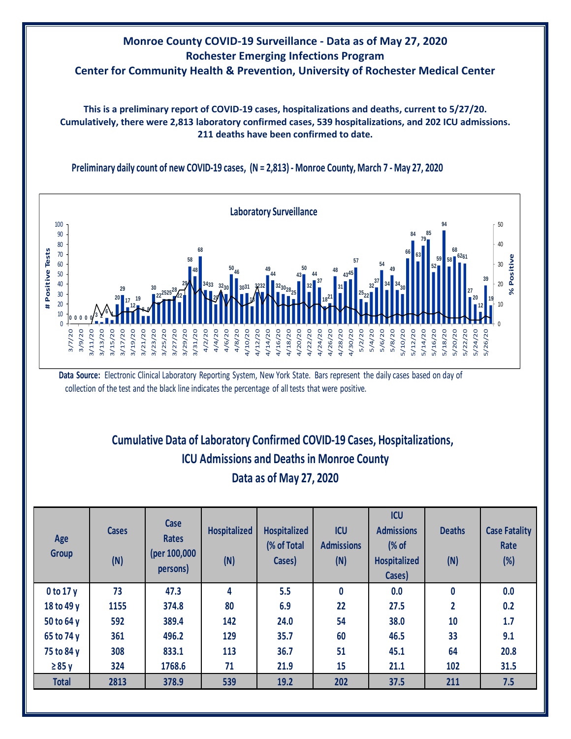

**This is a preliminary report of COVID-19 cases, hospitalizations and deaths, current to 5/27/20. Cumulatively, there were 2,813 laboratory confirmed cases, 539 hospitalizations, and 202 ICU admissions. 211 deaths have been confirmed to date.**





**13**

**13 13**

**Data Source:** Electronic Clinical Laboratory Reporting System, New York State. Bars represent the daily cases based on day of collection of the test and the black line indicates the percentage of all tests that were positive.

## **Cumulative Data of Laboratory Confirmed COVID-19 Cases, Hospitalizations, Data as of May 27, 2020 ICU Admissions and Deaths in Monroe County**

| Age<br><b>Group</b> | <b>Cases</b><br>(N) | Case<br><b>Rates</b><br>(per 100,000<br>persons) | <b>Hospitalized</b><br>(N) | <b>Hospitalized</b><br>(% of Total<br>Cases) | <b>ICU</b><br><b>Admissions</b><br>(N) | <b>ICU</b><br><b>Admissions</b><br>(% of<br><b>Hospitalized</b><br>Cases) | <b>Deaths</b><br>(N) | <b>Case Fatality</b><br>Rate<br>$(\%)$ |
|---------------------|---------------------|--------------------------------------------------|----------------------------|----------------------------------------------|----------------------------------------|---------------------------------------------------------------------------|----------------------|----------------------------------------|
| 0 to 17y            | 73                  | 47.3                                             | 4                          | 5.5                                          | $\mathbf{0}$                           | 0.0                                                                       | $\bf{0}$             | 0.0                                    |
| 18 to 49 y          | 1155                | 374.8                                            | 80                         | 6.9                                          | 22                                     | 27.5                                                                      | $\overline{2}$       | 0.2                                    |
| 50 to 64 y          | 592                 | 389.4                                            | 142                        | 24.0                                         | 54                                     | 38.0                                                                      | 10                   | 1.7                                    |
| 65 to 74 y          | 361                 | 496.2                                            | 129                        | 35.7                                         | 60                                     | 46.5                                                                      | 33                   | 9.1                                    |
| 75 to 84 y          | 308                 | 833.1                                            | 113                        | 36.7                                         | 51                                     | 45.1                                                                      | 64                   | 20.8                                   |
| $\geq 85$ y         | 324                 | 1768.6                                           | 71                         | 21.9                                         | 15                                     | 21.1                                                                      | 102                  | 31.5                                   |
| <b>Total</b>        | 2813                | 378.9                                            | 539                        | 19.2                                         | 202                                    | 37.5                                                                      | 211                  | 7.5                                    |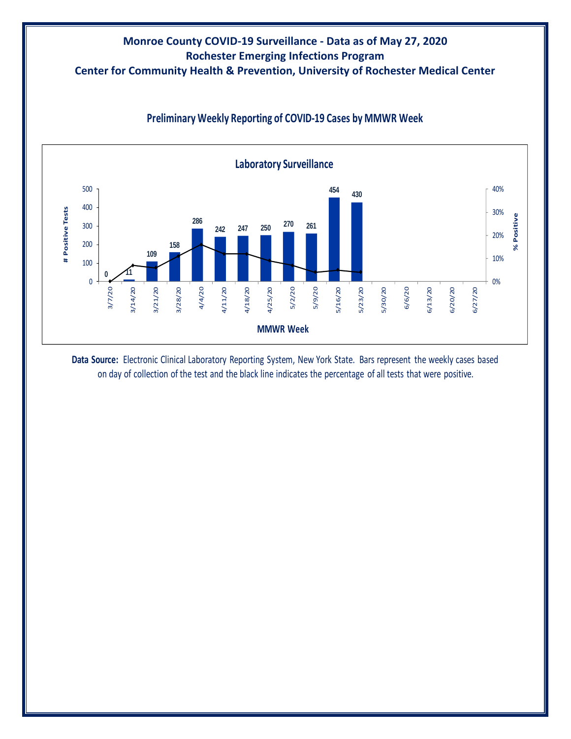## **Monroe County COVID-19 Surveillance - Data as of May 27, 2020 Rochester Emerging Infections Program Center for Community Health & Prevention, University of Rochester Medical Center**



## **Preliminary Weekly Reporting of COVID-19 Cases by MMWR Week**

**Data Source:** Electronic Clinical Laboratory Reporting System, New York State. Bars represent the weekly cases based on day of collection of the test and the black line indicates the percentage of all tests that were positive.